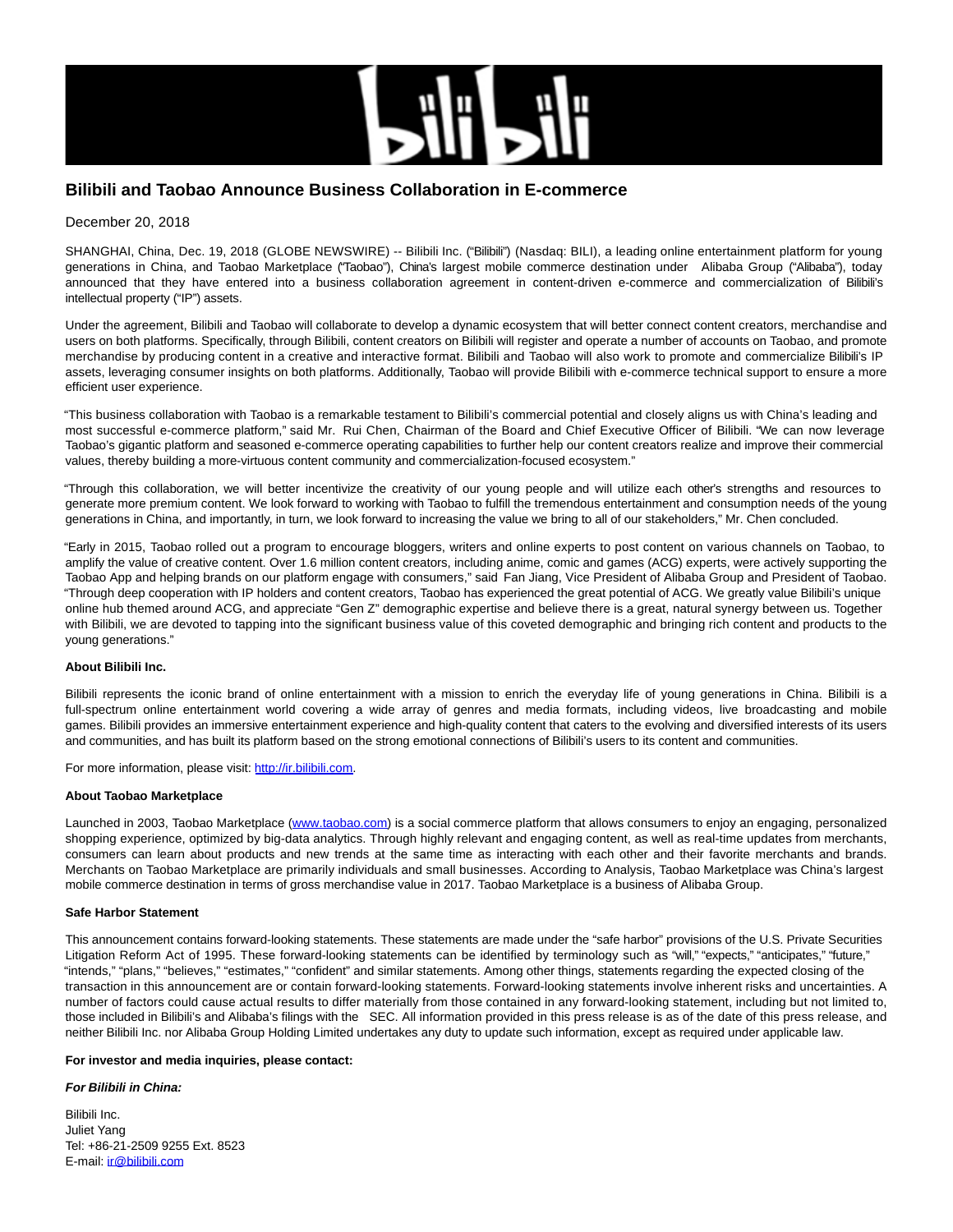

# **Bilibili and Taobao Announce Business Collaboration in E-commerce**

## December 20, 2018

SHANGHAI, China, Dec. 19, 2018 (GLOBE NEWSWIRE) -- Bilibili Inc. ("Bilibili") (Nasdaq: BILI), a leading online entertainment platform for young generations in China, and Taobao Marketplace ("Taobao"), China's largest mobile commerce destination under Alibaba Group ("Alibaba"), today announced that they have entered into a business collaboration agreement in content-driven e-commerce and commercialization of Bilibili's intellectual property ("IP") assets.

Under the agreement, Bilibili and Taobao will collaborate to develop a dynamic ecosystem that will better connect content creators, merchandise and users on both platforms. Specifically, through Bilibili, content creators on Bilibili will register and operate a number of accounts on Taobao, and promote merchandise by producing content in a creative and interactive format. Bilibili and Taobao will also work to promote and commercialize Bilibili's IP assets, leveraging consumer insights on both platforms. Additionally, Taobao will provide Bilibili with e-commerce technical support to ensure a more efficient user experience.

"This business collaboration with Taobao is a remarkable testament to Bilibili's commercial potential and closely aligns us with China's leading and most successful e-commerce platform," said Mr. Rui Chen, Chairman of the Board and Chief Executive Officer of Bilibili. "We can now leverage Taobao's gigantic platform and seasoned e-commerce operating capabilities to further help our content creators realize and improve their commercial values, thereby building a more-virtuous content community and commercialization-focused ecosystem."

"Through this collaboration, we will better incentivize the creativity of our young people and will utilize each other's strengths and resources to generate more premium content. We look forward to working with Taobao to fulfill the tremendous entertainment and consumption needs of the young generations in China, and importantly, in turn, we look forward to increasing the value we bring to all of our stakeholders," Mr. Chen concluded.

"Early in 2015, Taobao rolled out a program to encourage bloggers, writers and online experts to post content on various channels on Taobao, to amplify the value of creative content. Over 1.6 million content creators, including anime, comic and games (ACG) experts, were actively supporting the Taobao App and helping brands on our platform engage with consumers," said Fan Jiang, Vice President of Alibaba Group and President of Taobao. "Through deep cooperation with IP holders and content creators, Taobao has experienced the great potential of ACG. We greatly value Bilibili's unique online hub themed around ACG, and appreciate "Gen Z" demographic expertise and believe there is a great, natural synergy between us. Together with Bilibili, we are devoted to tapping into the significant business value of this coveted demographic and bringing rich content and products to the young generations."

## **About Bilibili Inc.**

Bilibili represents the iconic brand of online entertainment with a mission to enrich the everyday life of young generations in China. Bilibili is a full-spectrum online entertainment world covering a wide array of genres and media formats, including videos, live broadcasting and mobile games. Bilibili provides an immersive entertainment experience and high-quality content that caters to the evolving and diversified interests of its users and communities, and has built its platform based on the strong emotional connections of Bilibili's users to its content and communities.

For more information, please visit: [http://ir.bilibili.com.](https://www.globenewswire.com/Tracker?data=UtiQuW_T1WnNNRtDjqKaqLLJykgvr0ia7ulMKuFgyj7-u0GP3d_EbXAVEMx2qOxptfYHw11iwWUZkRFhUk1B4M3Car0M_2aTVtyMPVFePUk50fUPfeAQ4knxo3omU1aOpXzPbDug7JPX2fNNVspt8PJ4_urYmbMsdrZL1v7Y2b-x9k5j3gkRUr4esevCxK3BwcSQ4u4VW8n5s3Gq0N-FUvyUI3Ga4AKOUB0hKHV2l_cicXtSXkW7b1nrAK51BfxlZO1Oaw8FaQHvI44P1sy4Hw==)

#### **About Taobao Marketplace**

Launched in 2003, Taobao Marketplace [\(www.taobao.com\)](https://www.globenewswire.com/Tracker?data=ZCQs2sWZhDLn3CU_Ae_46WvY7clwti_U7ouP0QAIIXbI6WuiF4xkDgyiG5u_7saH0FslDTRVuna8Kf6f9pAV7A==) is a social commerce platform that allows consumers to enjoy an engaging, personalized shopping experience, optimized by big-data analytics. Through highly relevant and engaging content, as well as real-time updates from merchants, consumers can learn about products and new trends at the same time as interacting with each other and their favorite merchants and brands. Merchants on Taobao Marketplace are primarily individuals and small businesses. According to Analysis, Taobao Marketplace was China's largest mobile commerce destination in terms of gross merchandise value in 2017. Taobao Marketplace is a business of Alibaba Group.

#### **Safe Harbor Statement**

This announcement contains forward-looking statements. These statements are made under the "safe harbor" provisions of the U.S. Private Securities Litigation Reform Act of 1995. These forward-looking statements can be identified by terminology such as "will," "expects," "anticipates," "future," "intends," "plans," "believes," "estimates," "confident" and similar statements. Among other things, statements regarding the expected closing of the transaction in this announcement are or contain forward-looking statements. Forward-looking statements involve inherent risks and uncertainties. A number of factors could cause actual results to differ materially from those contained in any forward-looking statement, including but not limited to, those included in Bilibili's and Alibaba's filings with the SEC. All information provided in this press release is as of the date of this press release, and neither Bilibili Inc. nor Alibaba Group Holding Limited undertakes any duty to update such information, except as required under applicable law.

#### **For investor and media inquiries, please contact:**

#### **For Bilibili in China:**

Bilibili Inc. Juliet Yang Tel: +86-21-2509 9255 Ext. 8523 E-mail: [ir@bilibili.com](https://www.globenewswire.com/Tracker?data=b6rxKyk-1y2eb2SOR8Y-V07VOSTBCojO1NpCO6R0YCnPdVlPXx-SKmKr1ZbyIuR7cXyYEEWS63it5gNJlgzPSTyuwVEL_E_Tyvho48yiF3cJqTSoJFKBZeSO8HXMKUMRIS7hLPgq5wi1OlAIe5WyhDir49VK4G3XA6pimBG5_lEyEtSb_U7VAAdknLnmJ-nmL_sGxAo5hVodq_XueVRF1YRX3H1F6kH8ttjThKMxf50=)